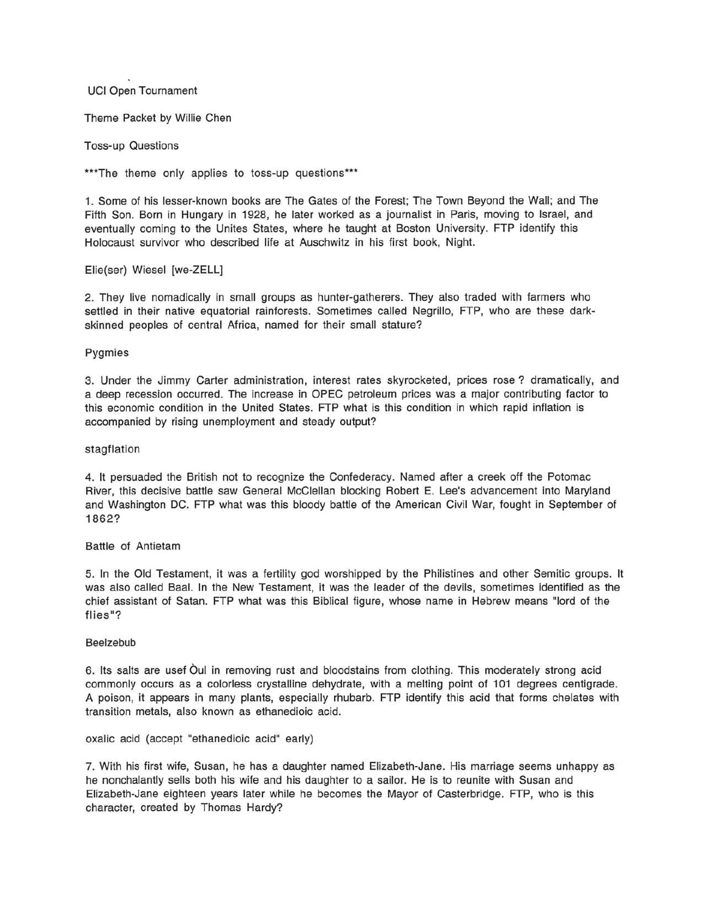UCI Open Tournament

Theme Packet by Willie Chen

Toss-up Questions

\*\*\*The theme only applies to toss-up questions\*\*\*

1. Some of his lesser-known books are The Gates of the Forest; The Town Beyond the Wall; and The Fifth Son. Born in Hungary in 1928, he later worked as a journalist in Paris, moving to Israel, and eventually coming to the Unites States, where he taught at Boston University. FTP identify this Holocaust survivor who described life at Auschwitz in his first book, Night.

Elie(ser) Wiesel [we-ZELL]

2. They live nomadically in small groups as hunter-gatherers. They also traded with farmers who settled in their native equatorial rainforests. Sometimes called Negrillo, FTP, who are these darkskinned peoples of central Africa, named for their small stature?

Pygmies

3. Under the Jimmy Carter administration, interest rates skyrocketed, prices rose? dramatically, and a deep recession occurred. The increase in OPEC petroleum prices was a major contributing factor to this economic condition in the United States. FTP what is this condition in which rapid inflation is accompanied by rising unemployment and steady output?

# stagflation

4. It persuaded the British not to recognize the Confederacy. Named after a creek off the Potomac River, this decisive battle saw General McClellan blocking Robert E. Lee's advancement into Maryland and Washington DC. FTP what was this bloody battle of the American Civil War, fought in September of 1862?

# Battle of Antietam

5. In the Old Testament, it was a fertility god worshipped by the Philistines and other Semitic groups. It was also called Baal. In the New Testament, it was the leader of the devils, sometimes identified as the chief assistant of Satan. FTP what was this Biblical figure, whose name in Hebrew means "lord of the flies"?

#### Beelzebub

6. Its salts are usef Qui in removing rust and bloodstains from clothing. This moderately strong acid commonly occurs as a colorless crystalline dehydrate, with a melting point of 101 degrees centigrade. A poison, it appears in many plants, especially rhubarb. FTP identify this acid that forms chelates with transition metals, also known as ethanedioic acid.

oxalic acid (accept "ethanedioic acid" early)

7. With his first wife, Susan, he has a daughter named Elizabeth-Jane. His marriage seems unhappy as he nonchalantly sells both his wife and his daughter to a sailor. He is to reunite with Susan and Elizabeth-Jane eighteen years later while he becomes the Mayor of Casterbridge. FTP, who is this character, created by Thomas Hardy?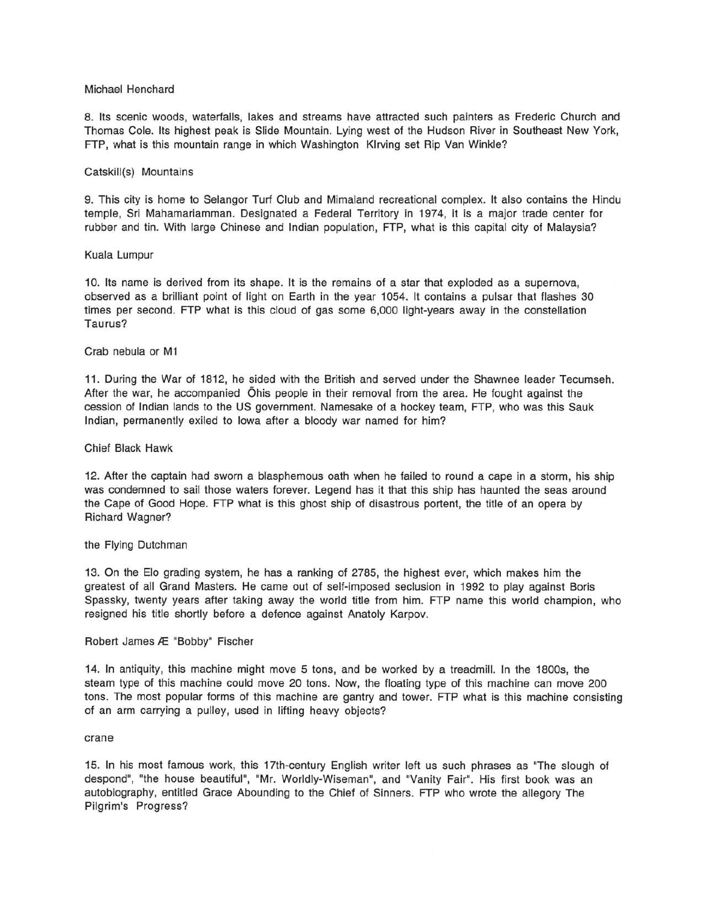# Michael Henchard

8. Its scenic woods, waterfalls, lakes and streams have attracted such painters as Frederic Church and Thomas Cole. Its highest peak is Slide Mountain. Lying west of the Hudson River in Southeast New York, FTP, what is this mountain range in which Washington Klrving set Rip Van Winkle?

# Catskill(s) Mountains

9. This city is home to Selangor Turf Club and Mimaland recreational complex. It also contains the Hindu temple, Sri Mahamariamman. Designated a Federal Territory in 1974, it is a major trade center for rubber and tin. With large Chinese and Indian population, FTP, what is this capital city of Malaysia?

# Kuala Lumpur

10. Its name is derived from its shape. It is the remains of a star that exploded as a supernova, observed as a brilliant point of light on Earth in the year 1054. It contains a pulsar that flashes 30 times per second. FTP what is this cloud of gas some 6,000 light-years away in the constellation Taurus?

# Crab nebula or M1

11. During the War of 1812, he sided with the British and served under the Shawnee leader Tecumseh. After the war, he accompanied Ohis people in their removal from the area. He fought against the cession of Indian lands to the US government. Namesake of a hockey team, FTP, who was this Sauk Indian, permanently exiled to Iowa after a bloody war named for him?

# Chief Black Hawk

12. After the captain had sworn a blasphemous oath when he failed to round a cape in a storm, his ship was condemned to sail those waters forever. Legend has it that this ship has haunted the seas around the Cape of Good Hope. FTP what is this ghost ship of disastrous portent, the title of an opera by Richard Wagner?

# the Flying Dutchman

13. On the Elo grading system, he has a ranking of 2785, the highest ever, which makes him the greatest of all Grand Masters. He came out of self-imposed seclusion in 1992 to play against Boris Spassky, twenty years after taking away the world title from him. FTP name this world champion, who resigned his title shortly before a defence against Anatoly Karpov.

# Robert James Æ "Bobby" Fischer

14. In antiquity, this machine might move 5 tons, and be worked by a treadmill. In the 1800s, the steam type of this machine could move 20 tons. Now, the floating type of this machine can move 200 tons. The most popular forms of this machine are gantry and tower. FTP what is this machine consisting of an arm carrying a pulley, used in lifting heavy objects?

# crane

15. In his most famous work, this 17th-century English writer left us such phrases as "The slough of despond", "the house beautiful", "Mr. Worldly-Wiseman", and "Vanity Fair". His first book was an autobiography, entitled Grace Abounding to the Chief of Sinners. FTP who wrote the allegory The Pilgrim's Progress?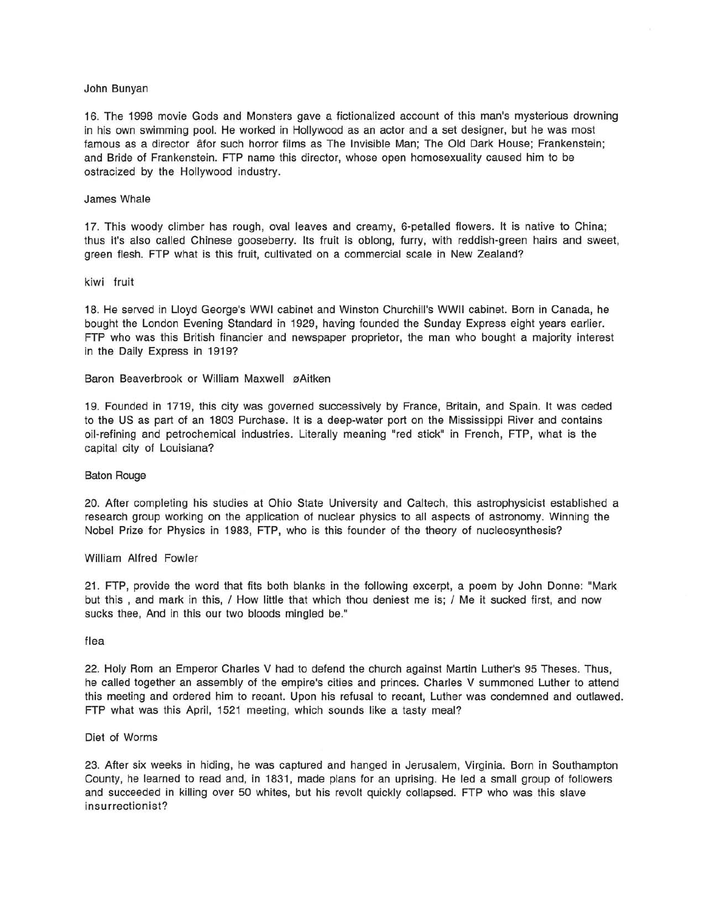### John Bunyan

16. The 1998 movie Gods and Monsters gave a fictionalized account of this man's mysterious drowning in his own swimming pool. He worked in Hollywood as an actor and a set designer, but he was most famous as a director âfor such horror films as The Invisible Man; The Old Dark House; Frankenstein; and Bride of Frankenstein. FTP name this director, whose open homosexuality caused him to be ostracized by the Hollywood industry.

# James Whale

17. This woody climber has rough, oval leaves and creamy, 6-petalled flowers. It is native to China; thus it's also called Chinese gooseberry. Its fruit is oblong, furry, with reddish-green hairs and sweet, green flesh. FTP what is this fruit, cultivated on a commercial scale in New Zealand?

# kiwi fruit

18. He served in Lloyd George's WWI cabinet and Winston Churchill's WWII cabinet. Born in Canada, he bought the London Evening Standard in 1929, having founded the Sunday Express eight years earlier. FTP who was this British financier and newspaper proprietor, the man who bought a majority interest in the Daily Express in 1919?

Baron Beaverbrook or William Maxwell øAitken

19. Founded in 1719, this city was governed successively by France, Britain, and Spain. It was ceded to the US as part of an 1803 Purchase. It is a deep-water port on the Mississippi River and contains oil-refining and petrochemical industries. Literally meaning "red stick" in French, FTP, what is the capital city of Louisiana?

#### Baton Rouge

20. After completing his studies at Ohio State University and Caltech, this astrophysicist established a research group working on the application of nuclear physics to all aspects of astronomy. Winning the Nobel Prize for Physics in 1983, FTP, who is this founder of the theory of nucleosynthesis?

#### William Alfred Fowler

21. FTP, provide the word that fits both blanks in the following excerpt, a poem by John Donne: "Mark but this , and mark in this, / How little that which thou deniest me is; / Me it sucked first, and now sucks thee, And in this our two bloods mingled be."

### flea

22. Holy Rom an Emperor Charles V had to defend the church against Martin Luther's 95 Theses. Thus, he called together an assembly of the empire's cities and princes. Charles V summoned Luther to attend this meeting and ordered him to recant. Upon his refusal to recant, Luther was condemned and outlawed. FTP what was this April, 1521 meeting, which sounds like a tasty meal?

### Diet of Worms

23. After six weeks in hiding, he was captured and hanged in Jerusalem, Virginia. Born in Southampton County, he learned to read and, in 1831, made plans for an uprising. He led a small group of followers and succeeded in killing over 50 whites, but his revolt quickly collapsed. FTP who was this slave insurrectionist?